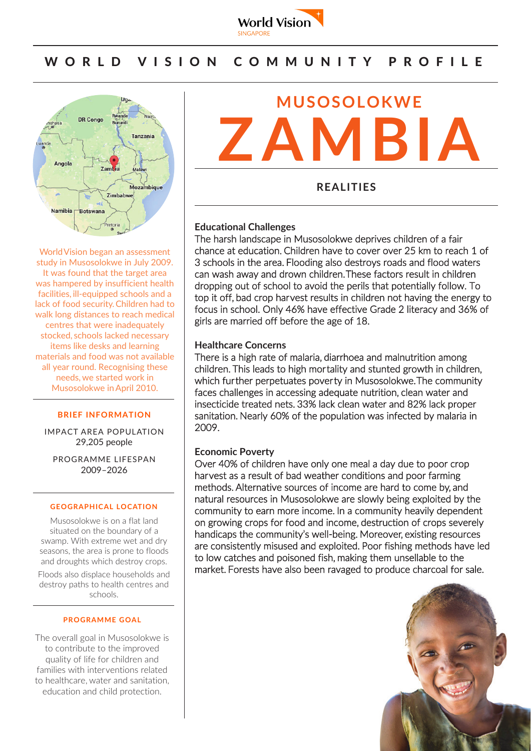

# WORLD VISION COMMUNITY PROFILE



World Vision began an assessment study in Musosolokwe in July 2009. It was found that the target area was hampered by insufficient health facilities, ill-equipped schools and a lack of food security.Children had to walk long distances to reach medical centres that were inadequately stocked, schools lacked necessary items like desks and learning materials and food was not available all year round. Recognising these needs,we started work in Musosolokwe inApril 2010.

#### **BRIEF INFORMATION**

IMPACT AREA POPULATION 29,205 people

PROGRAMME LIFESPAN 2009–2026

#### **GEOGRAPHICAL LOCATION**

Musosolokwe is on a flat land situated on the boundary of a swamp. With extreme wet and dry seasons, the area is prone to floods and droughts which destroy crops.

Floods also displace households and destroy paths to health centres and schools.

### **PROGRAMME GOAL**

The overall goal in Musosolokwe is to contribute to the improved quality of life for children and families with interventions related to healthcare, water and sanitation, education and child protection.



**REALITIES**

### **Educational Challenges**

The harsh landscape in Musosolokwe deprives children of a fair chance at education. Children have to cover over 25 km to reach 1 of 3 schools in the area. Flooding also destroys roads and flood waters can wash away and drown children. These factors result in children dropping out of school to avoid the perils that potentially follow. To top it off, bad crop harvest results in children not having the energy to focus in school. Only 46% have effective Grade 2 literacy and 36% of girls are married off before the age of 18.

#### **Healthcare Concerns**

There is a high rate of malaria, diarrhoea and malnutrition among children. This leads to high mortality and stunted growth in children, which further perpetuates poverty in Musosolokwe. The community faces challenges in accessing adequate nutrition, clean water and insecticide treated nets. 33% lack clean water and 82% lack proper sanitation. Nearly 60% of the population was infected by malaria in 2009.

### **Economic Poverty**

Over 40% of children have only one meal a day due to poor crop harvest as a result of bad weather conditions and poor farming methods. Alternative sources of income are hard to come by, and natural resources in Musosolokwe are slowly being exploited by the community to earn more income. In a community heavily dependent on growing crops for food and income, destruction of crops severely handicaps the community's well-being. Moreover, existing resources are consistently misused and exploited. Poor fishing methods have led to low catches and poisoned fish, making them unsellable to the market. Forests have also been ravaged to produce charcoal for sale.